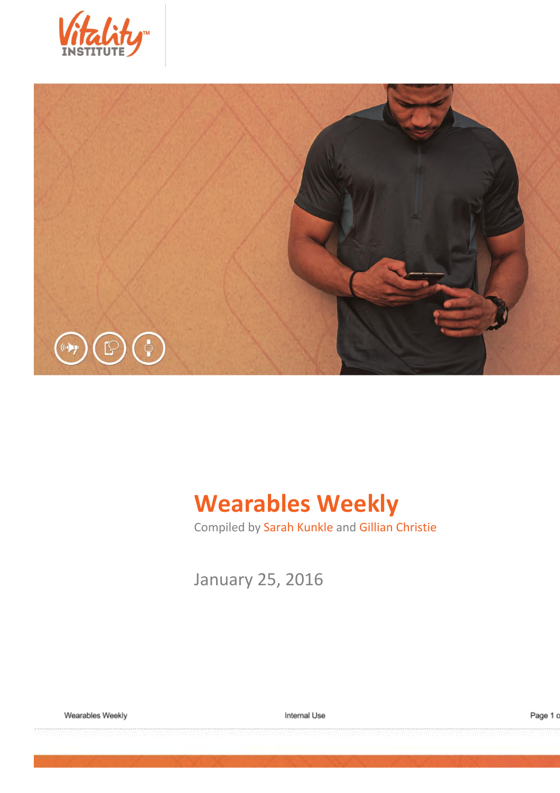



# **Wearables Weekly**

Compiled by Sarah Kunkle and Gillian Christie

January 25, 2016

Wearables Weekly

Internal Use

Page 1 c